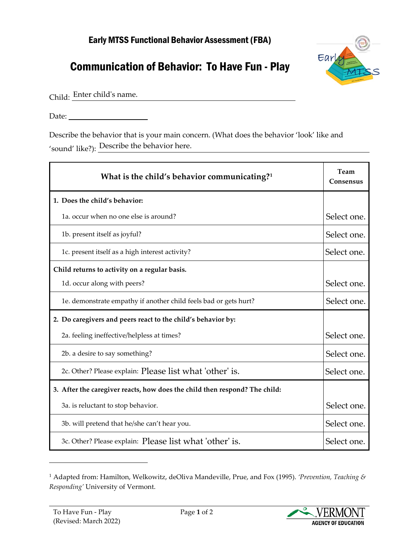## Early MTSS Functional Behavior Assessment (FBA)

## Communication of Behavior: To Have Fun - Play



Child: Enter child's name.

Date:

Describe the behavior that is your main concern. (What does the behavior 'look' like and 'sound' like?): Describe the behavior here.

| What is the child's behavior communicating? <sup>1</sup>                   | Team<br>Consensus |
|----------------------------------------------------------------------------|-------------------|
| 1. Does the child's behavior:                                              |                   |
| 1a, occur when no one else is around?                                      | Select one.       |
| 1b. present itself as joyful?                                              | Select one.       |
| 1c. present itself as a high interest activity?                            | Select one.       |
| Child returns to activity on a regular basis.                              |                   |
| 1d. occur along with peers?                                                | Select one.       |
| 1e. demonstrate empathy if another child feels bad or gets hurt?           | Select one.       |
| 2. Do caregivers and peers react to the child's behavior by:               |                   |
| 2a. feeling ineffective/helpless at times?                                 | Select one.       |
| 2b. a desire to say something?                                             | Select one.       |
| 2c. Other? Please explain: Please list what 'other' is.                    | Select one.       |
| 3. After the caregiver reacts, how does the child then respond? The child: |                   |
| 3a. is reluctant to stop behavior.                                         | Select one.       |
| 3b. will pretend that he/she can't hear you.                               | Select one.       |
| 3c. Other? Please explain: Please list what 'other' is.                    | Select one.       |

<span id="page-0-0"></span><sup>1</sup> Adapted from: Hamilton, Welkowitz, deOliva Mandeville, Prue, and Fox (1995). *'Prevention, Teaching & Responding'* University of Vermont.